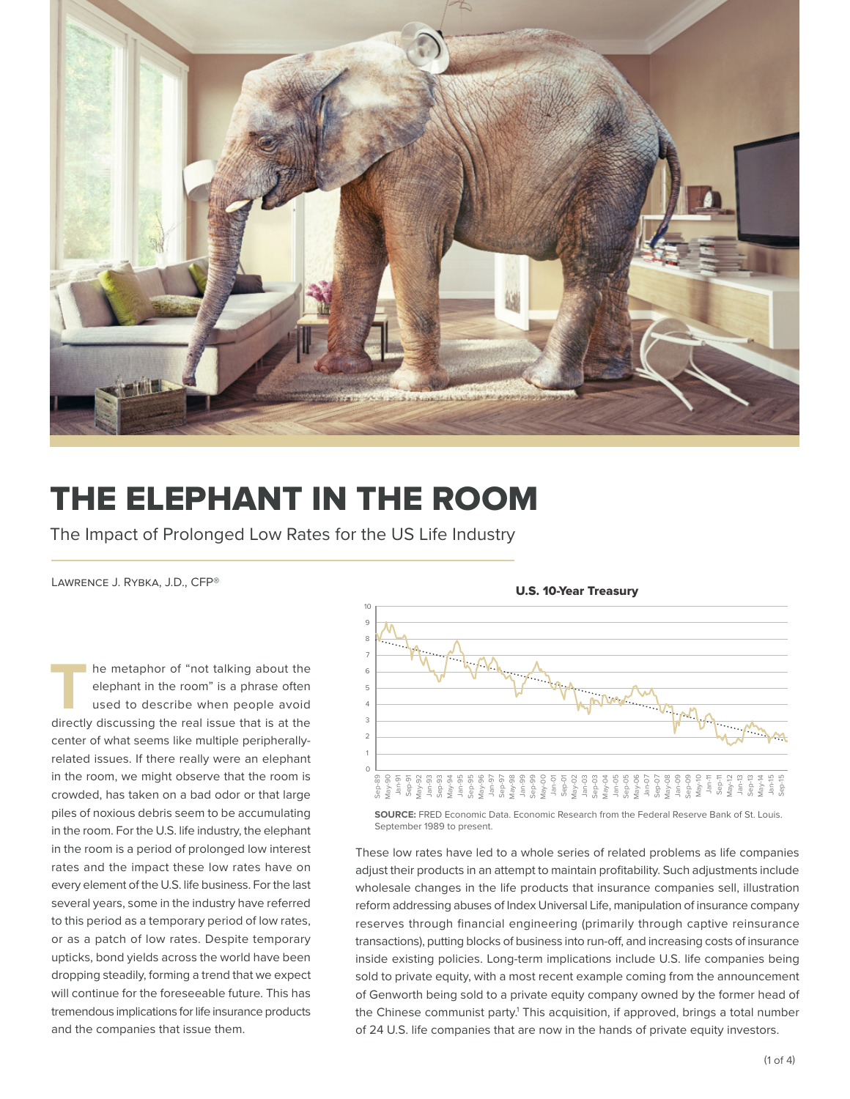

## THE ELEPHANT IN THE ROOM

The Impact of Prolonged Low Rates for the US Life Industry

Lawrence J. Rybka, J.D., CFP®

**THE METAPHORE SET ASSESS** THE METAPHONE OF THE METAPHONE USE OF THE METAPHONE AND METAPHONE AND METAPHONE AND METAPHONE AND METAPHONE AND METAPHONE AND METAPHONE AND METAPHONE AND METAPHONE AND METAPHONE AND METAPHONE AND elephant in the room" is a phrase often used to describe when people avoid directly discussing the real issue that is at the center of what seems like multiple peripherallyrelated issues. If there really were an elephant in the room, we might observe that the room is crowded, has taken on a bad odor or that large piles of noxious debris seem to be accumulating in the room. For the U.S. life industry, the elephant in the room is a period of prolonged low interest rates and the impact these low rates have on every element of the U.S. life business. For the last several years, some in the industry have referred to this period as a temporary period of low rates, or as a patch of low rates. Despite temporary upticks, bond yields across the world have been dropping steadily, forming a trend that we expect will continue for the foreseeable future. This has tremendous implications for life insurance products and the companies that issue them.



**SOURCE:** FRED Economic Data. Economic Research from the Federal Reserve Bank of St. Louis. September 1989 to present.

These low rates have led to a whole series of related problems as life companies adjust their products in an attempt to maintain profitability. Such adjustments include wholesale changes in the life products that insurance companies sell, illustration reform addressing abuses of Index Universal Life, manipulation of insurance company reserves through financial engineering (primarily through captive reinsurance transactions), putting blocks of business into run-off, and increasing costs of insurance inside existing policies. Long-term implications include U.S. life companies being sold to private equity, with a most recent example coming from the announcement of Genworth being sold to a private equity company owned by the former head of the Chinese communist party.<sup>1</sup> This acquisition, if approved, brings a total number of 24 U.S. life companies that are now in the hands of private equity investors.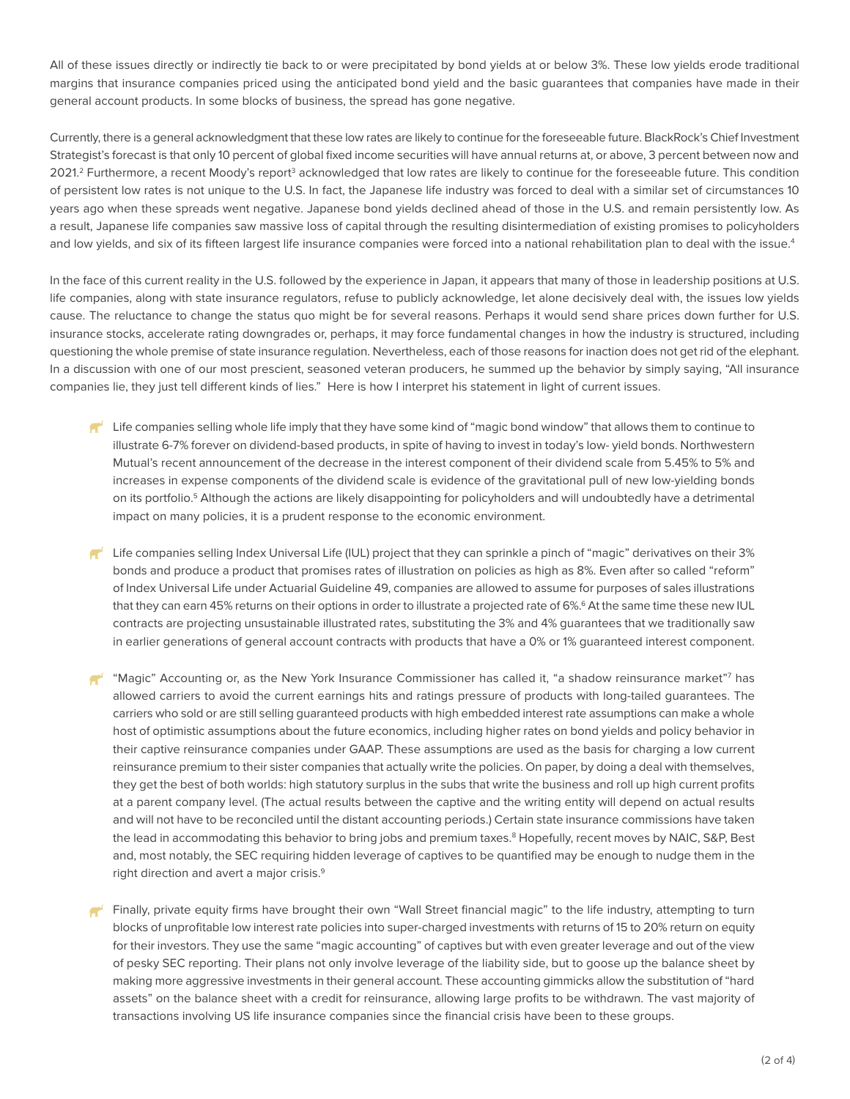All of these issues directly or indirectly tie back to or were precipitated by bond yields at or below 3%. These low yields erode traditional margins that insurance companies priced using the anticipated bond yield and the basic guarantees that companies have made in their general account products. In some blocks of business, the spread has gone negative.

Currently, there is a general acknowledgment that these low rates are likely to continue for the foreseeable future. BlackRock's Chief Investment Strategist's forecast is that only 10 percent of global fixed income securities will have annual returns at, or above, 3 percent between now and 2021.<sup>2</sup> Furthermore, a recent Moody's report<sup>3</sup> acknowledged that low rates are likely to continue for the foreseeable future. This condition of persistent low rates is not unique to the U.S. In fact, the Japanese life industry was forced to deal with a similar set of circumstances 10 years ago when these spreads went negative. Japanese bond yields declined ahead of those in the U.S. and remain persistently low. As a result, Japanese life companies saw massive loss of capital through the resulting disintermediation of existing promises to policyholders and low yields, and six of its fifteen largest life insurance companies were forced into a national rehabilitation plan to deal with the issue.<sup>4</sup>

In the face of this current reality in the U.S. followed by the experience in Japan, it appears that many of those in leadership positions at U.S. life companies, along with state insurance regulators, refuse to publicly acknowledge, let alone decisively deal with, the issues low yields cause. The reluctance to change the status quo might be for several reasons. Perhaps it would send share prices down further for U.S. insurance stocks, accelerate rating downgrades or, perhaps, it may force fundamental changes in how the industry is structured, including questioning the whole premise of state insurance regulation. Nevertheless, each of those reasons for inaction does not get rid of the elephant. In a discussion with one of our most prescient, seasoned veteran producers, he summed up the behavior by simply saying, "All insurance companies lie, they just tell different kinds of lies." Here is how I interpret his statement in light of current issues.

- $\mathbb{R}^4$  Life companies selling whole life imply that they have some kind of "magic bond window" that allows them to continue to illustrate 6-7% forever on dividend-based products, in spite of having to invest in today's low- yield bonds. Northwestern Mutual's recent announcement of the decrease in the interest component of their dividend scale from 5.45% to 5% and increases in expense components of the dividend scale is evidence of the gravitational pull of new low-yielding bonds on its portfolio.5 Although the actions are likely disappointing for policyholders and will undoubtedly have a detrimental impact on many policies, it is a prudent response to the economic environment.
- Life companies selling Index Universal Life (IUL) project that they can sprinkle a pinch of "magic" derivatives on their 3% bonds and produce a product that promises rates of illustration on policies as high as 8%. Even after so called "reform" of Index Universal Life under Actuarial Guideline 49, companies are allowed to assume for purposes of sales illustrations that they can earn 45% returns on their options in order to illustrate a projected rate of 6%.<sup>6</sup> At the same time these new IUL contracts are projecting unsustainable illustrated rates, substituting the 3% and 4% guarantees that we traditionally saw in earlier generations of general account contracts with products that have a 0% or 1% guaranteed interest component.
- $^4$  "Magic" Accounting or, as the New York Insurance Commissioner has called it, "a shadow reinsurance market"<sup>7</sup> has allowed carriers to avoid the current earnings hits and ratings pressure of products with long-tailed guarantees. The carriers who sold or are still selling guaranteed products with high embedded interest rate assumptions can make a whole host of optimistic assumptions about the future economics, including higher rates on bond yields and policy behavior in their captive reinsurance companies under GAAP. These assumptions are used as the basis for charging a low current reinsurance premium to their sister companies that actually write the policies. On paper, by doing a deal with themselves, they get the best of both worlds: high statutory surplus in the subs that write the business and roll up high current profits at a parent company level. (The actual results between the captive and the writing entity will depend on actual results and will not have to be reconciled until the distant accounting periods.) Certain state insurance commissions have taken the lead in accommodating this behavior to bring jobs and premium taxes.<sup>8</sup> Hopefully, recent moves by NAIC, S&P, Best and, most notably, the SEC requiring hidden leverage of captives to be quantified may be enough to nudge them in the right direction and avert a major crisis.<sup>9</sup>
- Finally, private equity firms have brought their own "Wall Street financial magic" to the life industry, attempting to turn blocks of unprofitable low interest rate policies into super-charged investments with returns of 15 to 20% return on equity for their investors. They use the same "magic accounting" of captives but with even greater leverage and out of the view of pesky SEC reporting. Their plans not only involve leverage of the liability side, but to goose up the balance sheet by making more aggressive investments in their general account. These accounting gimmicks allow the substitution of "hard assets" on the balance sheet with a credit for reinsurance, allowing large profits to be withdrawn. The vast majority of transactions involving US life insurance companies since the financial crisis have been to these groups.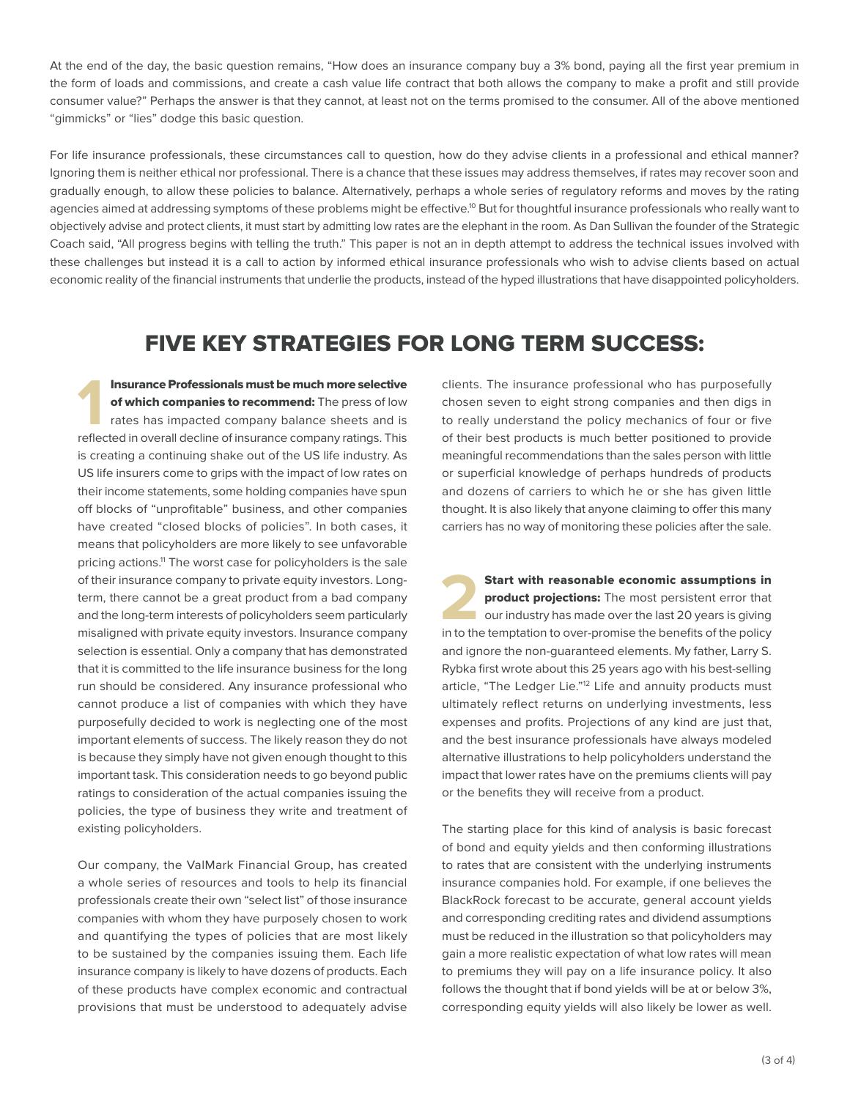At the end of the day, the basic question remains, "How does an insurance company buy a 3% bond, paying all the first year premium in the form of loads and commissions, and create a cash value life contract that both allows the company to make a profit and still provide consumer value?" Perhaps the answer is that they cannot, at least not on the terms promised to the consumer. All of the above mentioned "gimmicks" or "lies" dodge this basic question.

For life insurance professionals, these circumstances call to question, how do they advise clients in a professional and ethical manner? Ignoring them is neither ethical nor professional. There is a chance that these issues may address themselves, if rates may recover soon and gradually enough, to allow these policies to balance. Alternatively, perhaps a whole series of regulatory reforms and moves by the rating agencies aimed at addressing symptoms of these problems might be effective.<sup>10</sup> But for thoughtful insurance professionals who really want to objectively advise and protect clients, it must start by admitting low rates are the elephant in the room. As Dan Sullivan the founder of the Strategic Coach said, "All progress begins with telling the truth." This paper is not an in depth attempt to address the technical issues involved with these challenges but instead it is a call to action by informed ethical insurance professionals who wish to advise clients based on actual economic reality of the financial instruments that underlie the products, instead of the hyped illustrations that have disappointed policyholders.

## FIVE KEY STRATEGIES FOR LONG TERM SUCCESS:

**11 Insurance Professionals must be much more selective**<br> **11** of which companies to recommend: The press of low<br>
rates has impacted company balance sheets and is<br>
reflected in overall decline of insurance company ratings. Insurance Professionals must be much more selective of which companies to recommend: The press of low rates has impacted company balance sheets and is is creating a continuing shake out of the US life industry. As US life insurers come to grips with the impact of low rates on their income statements, some holding companies have spun off blocks of "unprofitable" business, and other companies have created "closed blocks of policies". In both cases, it means that policyholders are more likely to see unfavorable pricing actions.11 The worst case for policyholders is the sale of their insurance company to private equity investors. Longterm, there cannot be a great product from a bad company and the long-term interests of policyholders seem particularly misaligned with private equity investors. Insurance company selection is essential. Only a company that has demonstrated that it is committed to the life insurance business for the long run should be considered. Any insurance professional who cannot produce a list of companies with which they have purposefully decided to work is neglecting one of the most important elements of success. The likely reason they do not is because they simply have not given enough thought to this important task. This consideration needs to go beyond public ratings to consideration of the actual companies issuing the policies, the type of business they write and treatment of existing policyholders.

Our company, the ValMark Financial Group, has created a whole series of resources and tools to help its financial professionals create their own "select list" of those insurance companies with whom they have purposely chosen to work and quantifying the types of policies that are most likely to be sustained by the companies issuing them. Each life insurance company is likely to have dozens of products. Each of these products have complex economic and contractual provisions that must be understood to adequately advise

clients. The insurance professional who has purposefully chosen seven to eight strong companies and then digs in to really understand the policy mechanics of four or five of their best products is much better positioned to provide meaningful recommendations than the sales person with little or superficial knowledge of perhaps hundreds of products and dozens of carriers to which he or she has given little thought. It is also likely that anyone claiming to offer this many carriers has no way of monitoring these policies after the sale.

**22 Start with reasonable economic assumptions in product projections:** The most persistent error that our industry has made over the last 20 years is giving in to the temptation to over-promise the benefits of the policy product projections: The most persistent error that our industry has made over the last 20 years is giving in to the temptation to over-promise the benefits of the policy and ignore the non-guaranteed elements. My father, Larry S. Rybka first wrote about this 25 years ago with his best-selling article, "The Ledger Lie."<sup>12</sup> Life and annuity products must ultimately reflect returns on underlying investments, less expenses and profits. Projections of any kind are just that, and the best insurance professionals have always modeled alternative illustrations to help policyholders understand the impact that lower rates have on the premiums clients will pay or the benefits they will receive from a product.

The starting place for this kind of analysis is basic forecast of bond and equity yields and then conforming illustrations to rates that are consistent with the underlying instruments insurance companies hold. For example, if one believes the BlackRock forecast to be accurate, general account yields and corresponding crediting rates and dividend assumptions must be reduced in the illustration so that policyholders may gain a more realistic expectation of what low rates will mean to premiums they will pay on a life insurance policy. It also follows the thought that if bond yields will be at or below 3%, corresponding equity yields will also likely be lower as well.